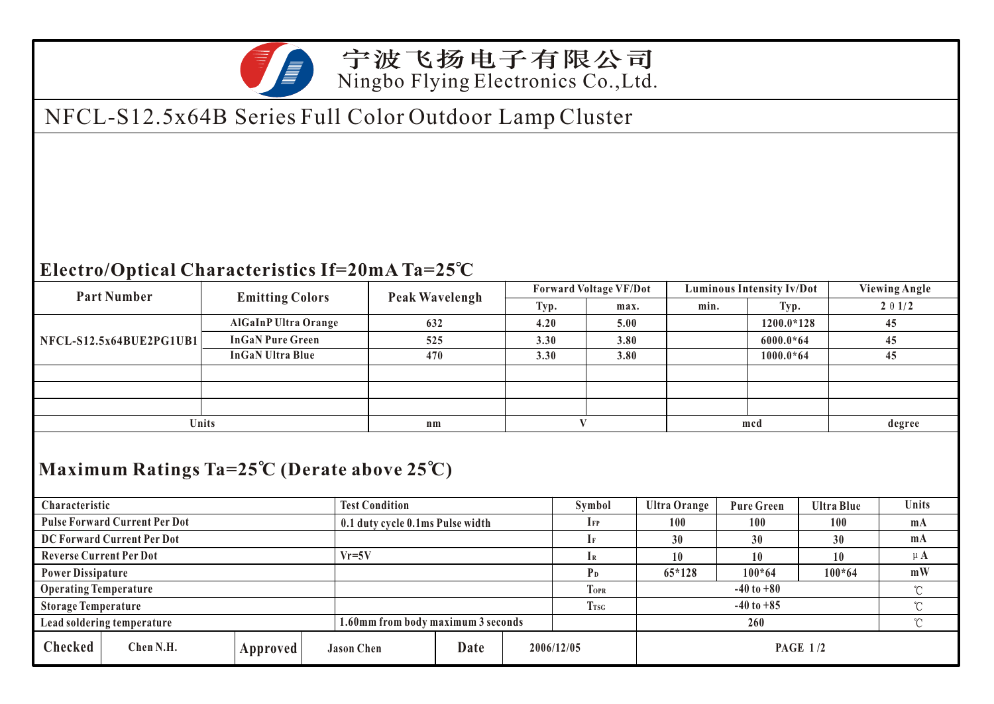

### 宁波飞扬电子有限公司 Ningbo Flying Electronics Co.,Ltd.

## NFCL-S12.5x64B Series Full Color Outdoor Lamp Cluster

### **Electro/Optical Characteristics If=20mA Ta=25 C**

| <b>Part Number</b>                                             | <b>Emitting Colors</b>      | Peak Wavelengh | <b>Forward Voltage VF/Dot</b> |      | <b>Luminous Intensity Iv/Dot</b> |             | <b>Viewing Angle</b> |  |  |
|----------------------------------------------------------------|-----------------------------|----------------|-------------------------------|------|----------------------------------|-------------|----------------------|--|--|
|                                                                |                             |                | Typ.                          | max. | min.                             | Typ.        | $2 \theta 1/2$       |  |  |
| NFCL-S12.5x64BUE2PG1UB1                                        | <b>AlGaInP Ultra Orange</b> | 632            | 4.20                          | 5.00 |                                  | 1200.0*128  | 45                   |  |  |
|                                                                | <b>InGaN Pure Green</b>     | 525            | 3.30                          | 3.80 |                                  | $6000.0*64$ | 45                   |  |  |
|                                                                | <b>InGaN Ultra Blue</b>     | 470            | 3.30                          | 3.80 |                                  | $1000.0*64$ | 45                   |  |  |
|                                                                |                             |                |                               |      |                                  |             |                      |  |  |
|                                                                |                             |                |                               |      |                                  |             |                      |  |  |
|                                                                |                             |                |                               |      |                                  |             |                      |  |  |
| Units                                                          |                             | $n_{m}$        |                               |      | mcd                              |             | degree               |  |  |
|                                                                |                             |                |                               |      |                                  |             |                      |  |  |
| Maximum Ratings $Ta = 25^\circ C$ (Derate above $25^\circ C$ ) |                             |                |                               |      |                                  |             |                      |  |  |

#### **Maximum Ratings Ta=25 C (Derate above 25 C)**

| Characteristic                       |           | <b>Test Condition</b> |                                    |      | Symbol      | Ultra Orange   | <b>Pure Green</b> | <b>Ultra Blue</b> | Units    |    |
|--------------------------------------|-----------|-----------------------|------------------------------------|------|-------------|----------------|-------------------|-------------------|----------|----|
| <b>Pulse Forward Current Per Dot</b> |           |                       | 0.1 duty cycle 0.1ms Pulse width   |      | <b>IFP</b>  | 100            | 100               | 100               | $m_A$    |    |
| DC Forward Current Per Dot           |           |                       |                                    |      |             | 30             | 30                | 30                | mA       |    |
| <b>Reverse Current Per Dot</b>       |           | $Vr = 5V$             |                                    |      |             | 10             | 10                |                   | $\mu$ A  |    |
| <b>Power Dissipature</b>             |           |                       |                                    |      |             | P <sub>D</sub> | $65*128$          | $100*64$          | $100*64$ | mW |
| <b>Operating Temperature</b>         |           |                       |                                    |      | <b>TOPR</b> | $-40$ to $+80$ |                   |                   | $\sim$   |    |
| <b>Storage Temperature</b>           |           |                       |                                    |      | <b>Trsg</b> | $-40$ to $+85$ |                   |                   | $\sim$   |    |
| Lead soldering temperature           |           |                       | 1.60mm from body maximum 3 seconds |      |             |                | $\sim$            |                   |          |    |
| <b>Checked</b>                       | Chen N.H. | Approved              | <b>Jason Chen</b>                  | Date |             | 2006/12/05     | <b>PAGE 1/2</b>   |                   |          |    |